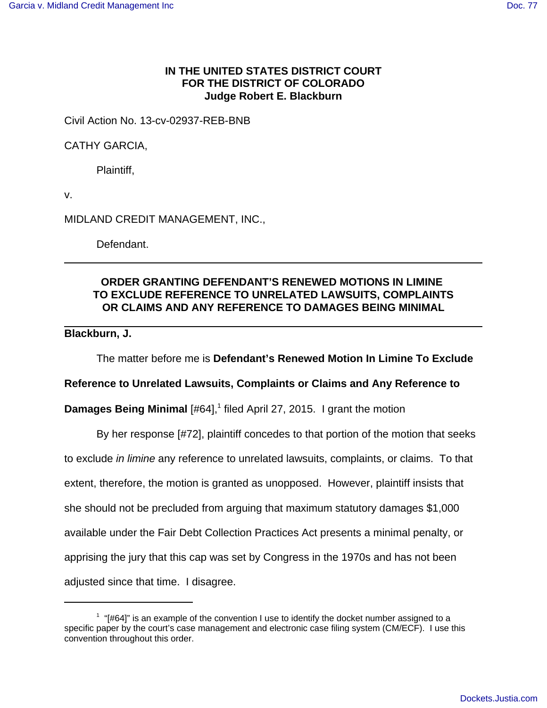## **IN THE UNITED STATES DISTRICT COURT FOR THE DISTRICT OF COLORADO Judge Robert E. Blackburn**

Civil Action No. 13-cv-02937-REB-BNB

CATHY GARCIA,

Plaintiff,

v.

MIDLAND CREDIT MANAGEMENT, INC.,

Defendant.

## **ORDER GRANTING DEFENDANT'S RENEWED MOTIONS IN LIMINE TO EXCLUDE REFERENCE TO UNRELATED LAWSUITS, COMPLAINTS OR CLAIMS AND ANY REFERENCE TO DAMAGES BEING MINIMAL**

## **Blackburn, J.**

The matter before me is **Defendant's Renewed Motion In Limine To Exclude**

## **Reference to Unrelated Lawsuits, Complaints or Claims and Any Reference to**

**Damages Being Minimal** [#64],<sup>1</sup> filed April 27, 2015. I grant the motion

By her response [#72], plaintiff concedes to that portion of the motion that seeks to exclude in limine any reference to unrelated lawsuits, complaints, or claims. To that extent, therefore, the motion is granted as unopposed. However, plaintiff insists that she should not be precluded from arguing that maximum statutory damages \$1,000 available under the Fair Debt Collection Practices Act presents a minimal penalty, or apprising the jury that this cap was set by Congress in the 1970s and has not been adjusted since that time. I disagree.

 $1$  "[#64]" is an example of the convention I use to identify the docket number assigned to a specific paper by the court's case management and electronic case filing system (CM/ECF). I use this convention throughout this order.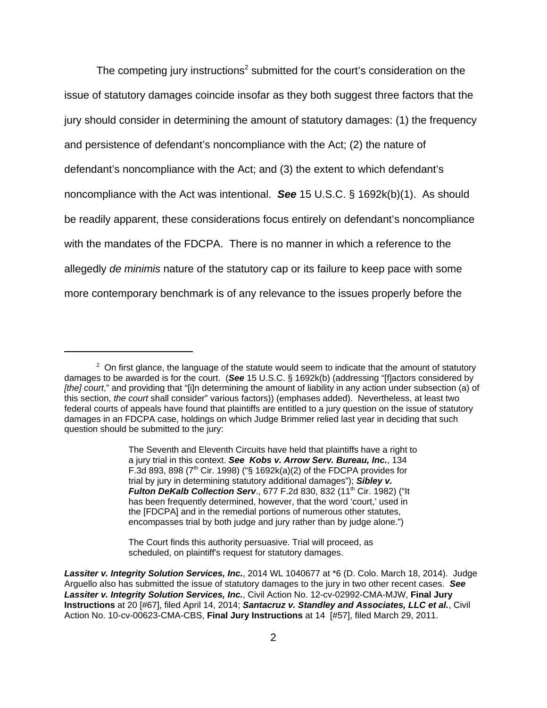The competing jury instructions<sup>2</sup> submitted for the court's consideration on the issue of statutory damages coincide insofar as they both suggest three factors that the jury should consider in determining the amount of statutory damages: (1) the frequency and persistence of defendant's noncompliance with the Act; (2) the nature of defendant's noncompliance with the Act; and (3) the extent to which defendant's noncompliance with the Act was intentional. **See** 15 U.S.C. § 1692k(b)(1). As should be readily apparent, these considerations focus entirely on defendant's noncompliance with the mandates of the FDCPA. There is no manner in which a reference to the allegedly de minimis nature of the statutory cap or its failure to keep pace with some more contemporary benchmark is of any relevance to the issues properly before the

The Seventh and Eleventh Circuits have held that plaintiffs have a right to a jury trial in this context. **See Kobs v. Arrow Serv. Bureau, Inc.**, 134 F.3d 893, 898 ( $7<sup>th</sup>$  Cir. 1998) ("§ 1692k(a)(2) of the FDCPA provides for trial by jury in determining statutory additional damages"); **Sibley v. Fulton DeKalb Collection Serv., 677 F.2d 830, 832 (11<sup>th</sup> Cir. 1982) ("It** has been frequently determined, however, that the word 'court,' used in the [FDCPA] and in the remedial portions of numerous other statutes, encompasses trial by both judge and jury rather than by judge alone.")

The Court finds this authority persuasive. Trial will proceed, as scheduled, on plaintiff's request for statutory damages.

 $2$  On first glance, the language of the statute would seem to indicate that the amount of statutory damages to be awarded is for the court. (**See** 15 U.S.C. § 1692k(b) (addressing "[f]actors considered by [the] court," and providing that "[i]n determining the amount of liability in any action under subsection (a) of this section, the court shall consider" various factors)) (emphases added). Nevertheless, at least two federal courts of appeals have found that plaintiffs are entitled to a jury question on the issue of statutory damages in an FDCPA case, holdings on which Judge Brimmer relied last year in deciding that such question should be submitted to the jury:

**Lassiter v. Integrity Solution Services, Inc.**, 2014 WL 1040677 at \*6 (D. Colo. March 18, 2014). Judge Arguello also has submitted the issue of statutory damages to the jury in two other recent cases. **See Lassiter v. Integrity Solution Services, Inc.**, Civil Action No. 12-cv-02992-CMA-MJW, **Final Jury Instructions** at 20 [#67], filed April 14, 2014; **Santacruz v. Standley and Associates, LLC et al.**, Civil Action No. 10-cv-00623-CMA-CBS, **Final Jury Instructions** at 14 [#57], filed March 29, 2011.